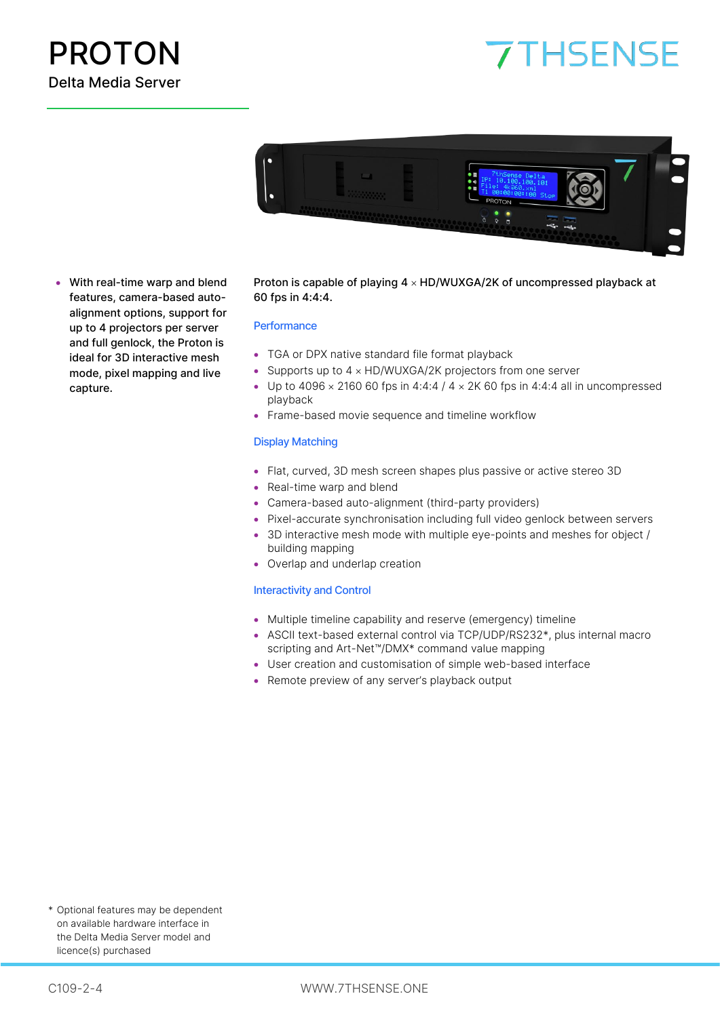## Delta Media Server PROTON

# **7THSENSE**



• With real-time warp and blend features, camera-based autoalignment options, support for up to 4 projectors per server and full genlock, the Proton is ideal for 3D interactive mesh mode, pixel mapping and live capture.

#### Proton is capable of playing  $4 \times$  HD/WUXGA/2K of uncompressed playback at 60 fps in 4:4:4.

#### **Performance**

- TGA or DPX native standard file format playback
- Supports up to 4 x HD/WUXGA/2K projectors from one server
- Up to 4096  $\times$  2160 60 fps in 4:4:4 / 4  $\times$  2K 60 fps in 4:4:4 all in uncompressed playback
- Frame-based movie sequence and timeline workflow

#### Display Matching

- Flat, curved, 3D mesh screen shapes plus passive or active stereo 3D
- Real-time warp and blend
- Camera-based auto-alignment (third-party providers)
- Pixel-accurate synchronisation including full video genlock between servers
- 3D interactive mesh mode with multiple eye-points and meshes for object / building mapping
- Overlap and underlap creation

#### Interactivity and Control

- Multiple timeline capability and reserve (emergency) timeline
- ASCII text-based external control via TCP/UDP/RS232\*, plus internal macro scripting and Art-Net™/DMX\* command value mapping
- User creation and customisation of simple web-based interface
- Remote preview of any server's playback output

\* Optional features may be dependent on available hardware interface in the Delta Media Server model and licence(s) purchased